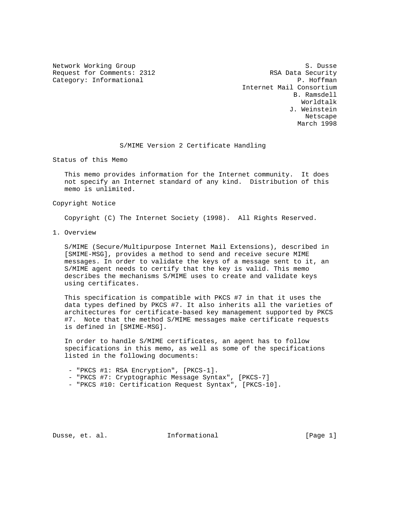Request for Comments: 2312 RSA Data Security Category: Informational example of the contraction of the contraction of the contraction of the contraction of the contraction of the contraction of the contraction of the contraction of the contraction of the contraction

Network Working Group S. Dusse Internet Mail Consortium B. Ramsdell Worldtalk J. Weinstein Netscape March 1998

#### S/MIME Version 2 Certificate Handling

Status of this Memo

 This memo provides information for the Internet community. It does not specify an Internet standard of any kind. Distribution of this memo is unlimited.

### Copyright Notice

Copyright (C) The Internet Society (1998). All Rights Reserved.

1. Overview

 S/MIME (Secure/Multipurpose Internet Mail Extensions), described in [SMIME-MSG], provides a method to send and receive secure MIME messages. In order to validate the keys of a message sent to it, an S/MIME agent needs to certify that the key is valid. This memo describes the mechanisms S/MIME uses to create and validate keys using certificates.

 This specification is compatible with PKCS #7 in that it uses the data types defined by PKCS #7. It also inherits all the varieties of architectures for certificate-based key management supported by PKCS #7. Note that the method S/MIME messages make certificate requests is defined in [SMIME-MSG].

 In order to handle S/MIME certificates, an agent has to follow specifications in this memo, as well as some of the specifications listed in the following documents:

- "PKCS #1: RSA Encryption", [PKCS-1].
- "PKCS #7: Cryptographic Message Syntax", [PKCS-7]
- "PKCS #10: Certification Request Syntax", [PKCS-10].

Dusse, et. al. **Informational** [Page 1]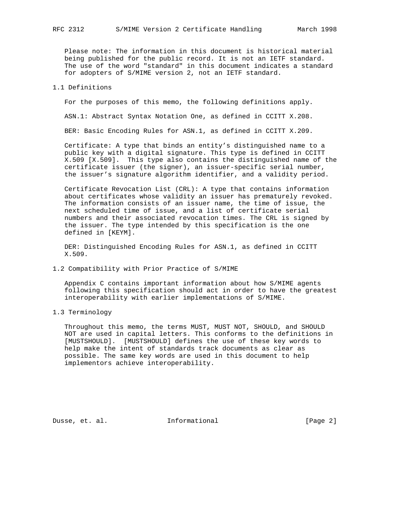Please note: The information in this document is historical material being published for the public record. It is not an IETF standard. The use of the word "standard" in this document indicates a standard for adopters of S/MIME version 2, not an IETF standard.

### 1.1 Definitions

For the purposes of this memo, the following definitions apply.

ASN.1: Abstract Syntax Notation One, as defined in CCITT X.208.

BER: Basic Encoding Rules for ASN.1, as defined in CCITT X.209.

 Certificate: A type that binds an entity's distinguished name to a public key with a digital signature. This type is defined in CCITT X.509 [X.509]. This type also contains the distinguished name of the certificate issuer (the signer), an issuer-specific serial number, the issuer's signature algorithm identifier, and a validity period.

 Certificate Revocation List (CRL): A type that contains information about certificates whose validity an issuer has prematurely revoked. The information consists of an issuer name, the time of issue, the next scheduled time of issue, and a list of certificate serial numbers and their associated revocation times. The CRL is signed by the issuer. The type intended by this specification is the one defined in [KEYM].

 DER: Distinguished Encoding Rules for ASN.1, as defined in CCITT X.509.

1.2 Compatibility with Prior Practice of S/MIME

 Appendix C contains important information about how S/MIME agents following this specification should act in order to have the greatest interoperability with earlier implementations of S/MIME.

1.3 Terminology

 Throughout this memo, the terms MUST, MUST NOT, SHOULD, and SHOULD NOT are used in capital letters. This conforms to the definitions in [MUSTSHOULD]. [MUSTSHOULD] defines the use of these key words to help make the intent of standards track documents as clear as possible. The same key words are used in this document to help implementors achieve interoperability.

Dusse, et. al. 1nformational 1999 [Page 2]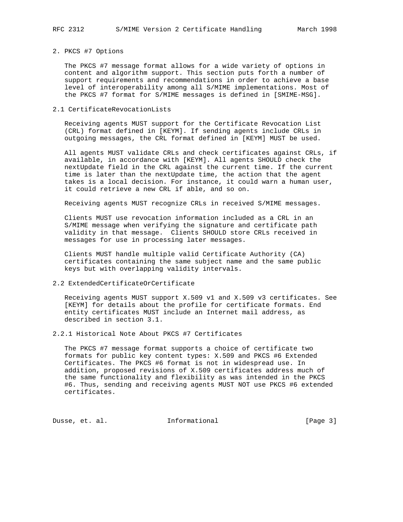### 2. PKCS #7 Options

 The PKCS #7 message format allows for a wide variety of options in content and algorithm support. This section puts forth a number of support requirements and recommendations in order to achieve a base level of interoperability among all S/MIME implementations. Most of the PKCS #7 format for S/MIME messages is defined in [SMIME-MSG].

### 2.1 CertificateRevocationLists

 Receiving agents MUST support for the Certificate Revocation List (CRL) format defined in [KEYM]. If sending agents include CRLs in outgoing messages, the CRL format defined in [KEYM] MUST be used.

 All agents MUST validate CRLs and check certificates against CRLs, if available, in accordance with [KEYM]. All agents SHOULD check the nextUpdate field in the CRL against the current time. If the current time is later than the nextUpdate time, the action that the agent takes is a local decision. For instance, it could warn a human user, it could retrieve a new CRL if able, and so on.

Receiving agents MUST recognize CRLs in received S/MIME messages.

 Clients MUST use revocation information included as a CRL in an S/MIME message when verifying the signature and certificate path validity in that message. Clients SHOULD store CRLs received in messages for use in processing later messages.

 Clients MUST handle multiple valid Certificate Authority (CA) certificates containing the same subject name and the same public keys but with overlapping validity intervals.

#### 2.2 ExtendedCertificateOrCertificate

 Receiving agents MUST support X.509 v1 and X.509 v3 certificates. See [KEYM] for details about the profile for certificate formats. End entity certificates MUST include an Internet mail address, as described in section 3.1.

2.2.1 Historical Note About PKCS #7 Certificates

 The PKCS #7 message format supports a choice of certificate two formats for public key content types: X.509 and PKCS #6 Extended Certificates. The PKCS #6 format is not in widespread use. In addition, proposed revisions of X.509 certificates address much of the same functionality and flexibility as was intended in the PKCS #6. Thus, sending and receiving agents MUST NOT use PKCS #6 extended certificates.

Dusse, et. al. 1nformational 1999 [Page 3]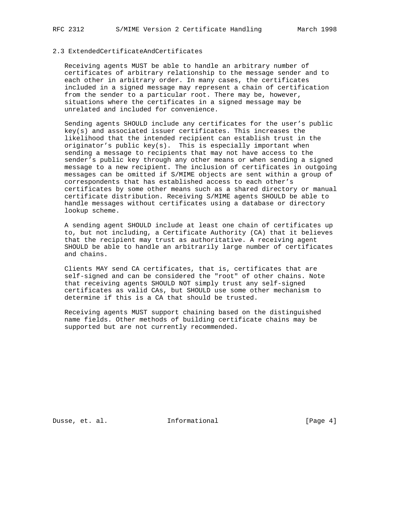# 2.3 ExtendedCertificateAndCertificates

 Receiving agents MUST be able to handle an arbitrary number of certificates of arbitrary relationship to the message sender and to each other in arbitrary order. In many cases, the certificates included in a signed message may represent a chain of certification from the sender to a particular root. There may be, however, situations where the certificates in a signed message may be unrelated and included for convenience.

 Sending agents SHOULD include any certificates for the user's public key(s) and associated issuer certificates. This increases the likelihood that the intended recipient can establish trust in the originator's public key(s). This is especially important when sending a message to recipients that may not have access to the sender's public key through any other means or when sending a signed message to a new recipient. The inclusion of certificates in outgoing messages can be omitted if S/MIME objects are sent within a group of correspondents that has established access to each other's certificates by some other means such as a shared directory or manual certificate distribution. Receiving S/MIME agents SHOULD be able to handle messages without certificates using a database or directory lookup scheme.

 A sending agent SHOULD include at least one chain of certificates up to, but not including, a Certificate Authority (CA) that it believes that the recipient may trust as authoritative. A receiving agent SHOULD be able to handle an arbitrarily large number of certificates and chains.

 Clients MAY send CA certificates, that is, certificates that are self-signed and can be considered the "root" of other chains. Note that receiving agents SHOULD NOT simply trust any self-signed certificates as valid CAs, but SHOULD use some other mechanism to determine if this is a CA that should be trusted.

 Receiving agents MUST support chaining based on the distinguished name fields. Other methods of building certificate chains may be supported but are not currently recommended.

Dusse, et. al. **Informational** [Page 4]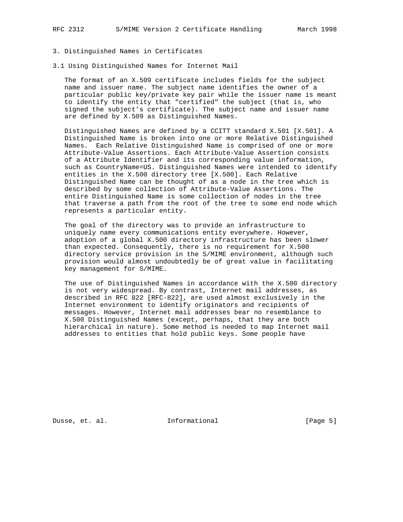### 3. Distinguished Names in Certificates

3.1 Using Distinguished Names for Internet Mail

 The format of an X.509 certificate includes fields for the subject name and issuer name. The subject name identifies the owner of a particular public key/private key pair while the issuer name is meant to identify the entity that "certified" the subject (that is, who signed the subject's certificate). The subject name and issuer name are defined by X.509 as Distinguished Names.

 Distinguished Names are defined by a CCITT standard X.501 [X.501]. A Distinguished Name is broken into one or more Relative Distinguished Names. Each Relative Distinguished Name is comprised of one or more Attribute-Value Assertions. Each Attribute-Value Assertion consists of a Attribute Identifier and its corresponding value information, such as CountryName=US. Distinguished Names were intended to identify entities in the X.500 directory tree [X.500]. Each Relative Distinguished Name can be thought of as a node in the tree which is described by some collection of Attribute-Value Assertions. The entire Distinguished Name is some collection of nodes in the tree that traverse a path from the root of the tree to some end node which represents a particular entity.

 The goal of the directory was to provide an infrastructure to uniquely name every communications entity everywhere. However, adoption of a global X.500 directory infrastructure has been slower than expected. Consequently, there is no requirement for X.500 directory service provision in the S/MIME environment, although such provision would almost undoubtedly be of great value in facilitating key management for S/MIME.

 The use of Distinguished Names in accordance with the X.500 directory is not very widespread. By contrast, Internet mail addresses, as described in RFC 822 [RFC-822], are used almost exclusively in the Internet environment to identify originators and recipients of messages. However, Internet mail addresses bear no resemblance to X.500 Distinguished Names (except, perhaps, that they are both hierarchical in nature). Some method is needed to map Internet mail addresses to entities that hold public keys. Some people have

Dusse, et. al. 10 mm = Informational 100 mm = [Page 5]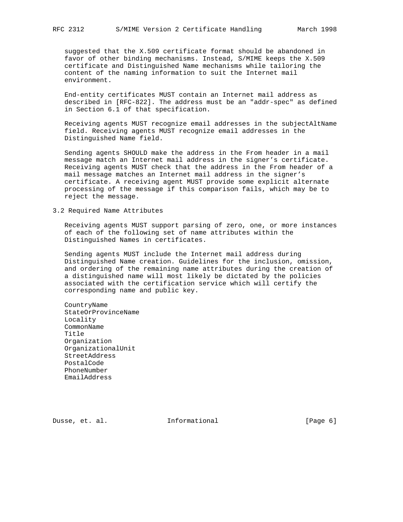suggested that the X.509 certificate format should be abandoned in favor of other binding mechanisms. Instead, S/MIME keeps the X.509 certificate and Distinguished Name mechanisms while tailoring the content of the naming information to suit the Internet mail environment.

 End-entity certificates MUST contain an Internet mail address as described in [RFC-822]. The address must be an "addr-spec" as defined in Section 6.1 of that specification.

 Receiving agents MUST recognize email addresses in the subjectAltName field. Receiving agents MUST recognize email addresses in the Distinguished Name field.

 Sending agents SHOULD make the address in the From header in a mail message match an Internet mail address in the signer's certificate. Receiving agents MUST check that the address in the From header of a mail message matches an Internet mail address in the signer's certificate. A receiving agent MUST provide some explicit alternate processing of the message if this comparison fails, which may be to reject the message.

3.2 Required Name Attributes

 Receiving agents MUST support parsing of zero, one, or more instances of each of the following set of name attributes within the Distinguished Names in certificates.

 Sending agents MUST include the Internet mail address during Distinguished Name creation. Guidelines for the inclusion, omission, and ordering of the remaining name attributes during the creation of a distinguished name will most likely be dictated by the policies associated with the certification service which will certify the corresponding name and public key.

 CountryName StateOrProvinceName Locality CommonName Title Organization OrganizationalUnit StreetAddress PostalCode PhoneNumber EmailAddress

Dusse, et. al. **Informational** [Page 6]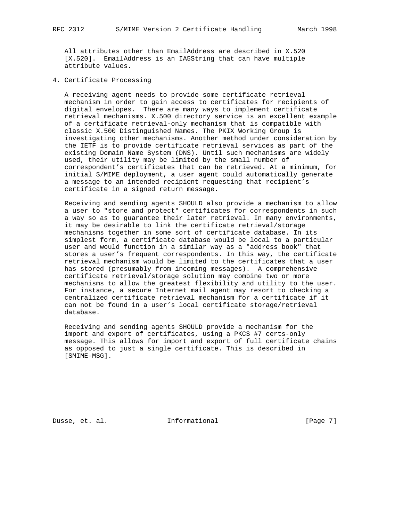All attributes other than EmailAddress are described in X.520 [X.520]. EmailAddress is an IA5String that can have multiple attribute values.

4. Certificate Processing

 A receiving agent needs to provide some certificate retrieval mechanism in order to gain access to certificates for recipients of digital envelopes. There are many ways to implement certificate retrieval mechanisms. X.500 directory service is an excellent example of a certificate retrieval-only mechanism that is compatible with classic X.500 Distinguished Names. The PKIX Working Group is investigating other mechanisms. Another method under consideration by the IETF is to provide certificate retrieval services as part of the existing Domain Name System (DNS). Until such mechanisms are widely used, their utility may be limited by the small number of correspondent's certificates that can be retrieved. At a minimum, for initial S/MIME deployment, a user agent could automatically generate a message to an intended recipient requesting that recipient's certificate in a signed return message.

 Receiving and sending agents SHOULD also provide a mechanism to allow a user to "store and protect" certificates for correspondents in such a way so as to guarantee their later retrieval. In many environments, it may be desirable to link the certificate retrieval/storage mechanisms together in some sort of certificate database. In its simplest form, a certificate database would be local to a particular user and would function in a similar way as a "address book" that stores a user's frequent correspondents. In this way, the certificate retrieval mechanism would be limited to the certificates that a user has stored (presumably from incoming messages). A comprehensive certificate retrieval/storage solution may combine two or more mechanisms to allow the greatest flexibility and utility to the user. For instance, a secure Internet mail agent may resort to checking a centralized certificate retrieval mechanism for a certificate if it can not be found in a user's local certificate storage/retrieval database.

 Receiving and sending agents SHOULD provide a mechanism for the import and export of certificates, using a PKCS #7 certs-only message. This allows for import and export of full certificate chains as opposed to just a single certificate. This is described in [SMIME-MSG].

Dusse, et. al. 10 mm = Informational 100 mm = [Page 7]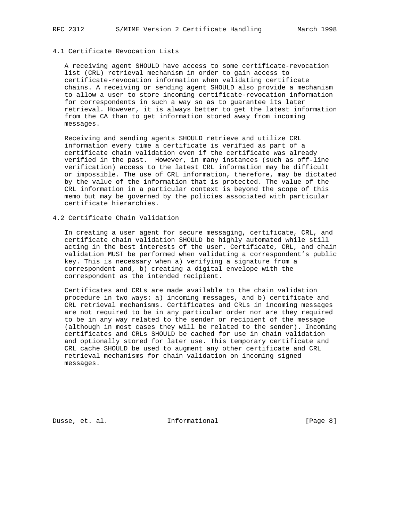# 4.1 Certificate Revocation Lists

 A receiving agent SHOULD have access to some certificate-revocation list (CRL) retrieval mechanism in order to gain access to certificate-revocation information when validating certificate chains. A receiving or sending agent SHOULD also provide a mechanism to allow a user to store incoming certificate-revocation information for correspondents in such a way so as to guarantee its later retrieval. However, it is always better to get the latest information from the CA than to get information stored away from incoming messages.

 Receiving and sending agents SHOULD retrieve and utilize CRL information every time a certificate is verified as part of a certificate chain validation even if the certificate was already verified in the past. However, in many instances (such as off-line verification) access to the latest CRL information may be difficult or impossible. The use of CRL information, therefore, may be dictated by the value of the information that is protected. The value of the CRL information in a particular context is beyond the scope of this memo but may be governed by the policies associated with particular certificate hierarchies.

#### 4.2 Certificate Chain Validation

 In creating a user agent for secure messaging, certificate, CRL, and certificate chain validation SHOULD be highly automated while still acting in the best interests of the user. Certificate, CRL, and chain validation MUST be performed when validating a correspondent's public key. This is necessary when a) verifying a signature from a correspondent and, b) creating a digital envelope with the correspondent as the intended recipient.

 Certificates and CRLs are made available to the chain validation procedure in two ways: a) incoming messages, and b) certificate and CRL retrieval mechanisms. Certificates and CRLs in incoming messages are not required to be in any particular order nor are they required to be in any way related to the sender or recipient of the message (although in most cases they will be related to the sender). Incoming certificates and CRLs SHOULD be cached for use in chain validation and optionally stored for later use. This temporary certificate and CRL cache SHOULD be used to augment any other certificate and CRL retrieval mechanisms for chain validation on incoming signed messages.

Dusse, et. al. 1nformational 1999 [Page 8]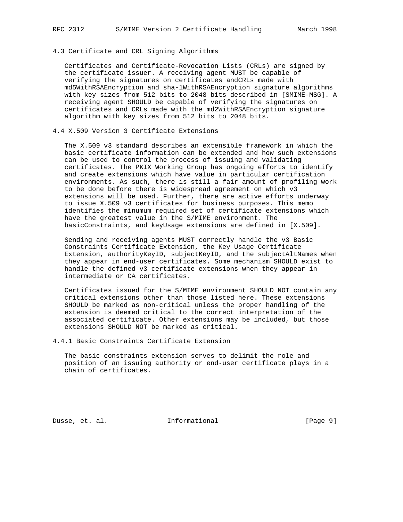# 4.3 Certificate and CRL Signing Algorithms

 Certificates and Certificate-Revocation Lists (CRLs) are signed by the certificate issuer. A receiving agent MUST be capable of verifying the signatures on certificates andCRLs made with md5WithRSAEncryption and sha-1WithRSAEncryption signature algorithms with key sizes from 512 bits to 2048 bits described in [SMIME-MSG]. A receiving agent SHOULD be capable of verifying the signatures on certificates and CRLs made with the md2WithRSAEncryption signature algorithm with key sizes from 512 bits to 2048 bits.

### 4.4 X.509 Version 3 Certificate Extensions

 The X.509 v3 standard describes an extensible framework in which the basic certificate information can be extended and how such extensions can be used to control the process of issuing and validating certificates. The PKIX Working Group has ongoing efforts to identify and create extensions which have value in particular certification environments. As such, there is still a fair amount of profiling work to be done before there is widespread agreement on which v3 extensions will be used. Further, there are active efforts underway to issue X.509 v3 certificates for business purposes. This memo identifies the minumum required set of certificate extensions which have the greatest value in the S/MIME environment. The basicConstraints, and keyUsage extensions are defined in [X.509].

 Sending and receiving agents MUST correctly handle the v3 Basic Constraints Certificate Extension, the Key Usage Certificate Extension, authorityKeyID, subjectKeyID, and the subjectAltNames when they appear in end-user certificates. Some mechanism SHOULD exist to handle the defined v3 certificate extensions when they appear in intermediate or CA certificates.

 Certificates issued for the S/MIME environment SHOULD NOT contain any critical extensions other than those listed here. These extensions SHOULD be marked as non-critical unless the proper handling of the extension is deemed critical to the correct interpretation of the associated certificate. Other extensions may be included, but those extensions SHOULD NOT be marked as critical.

4.4.1 Basic Constraints Certificate Extension

 The basic constraints extension serves to delimit the role and position of an issuing authority or end-user certificate plays in a chain of certificates.

Dusse, et. al. **Informational** [Page 9]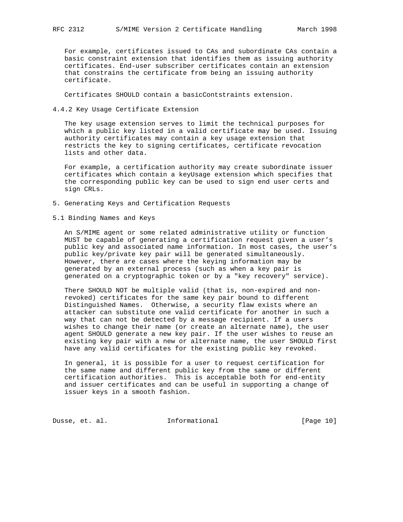For example, certificates issued to CAs and subordinate CAs contain a basic constraint extension that identifies them as issuing authority certificates. End-user subscriber certificates contain an extension that constrains the certificate from being an issuing authority certificate.

Certificates SHOULD contain a basicContstraints extension.

### 4.4.2 Key Usage Certificate Extension

 The key usage extension serves to limit the technical purposes for which a public key listed in a valid certificate may be used. Issuing authority certificates may contain a key usage extension that restricts the key to signing certificates, certificate revocation lists and other data.

 For example, a certification authority may create subordinate issuer certificates which contain a keyUsage extension which specifies that the corresponding public key can be used to sign end user certs and sign CRLs.

- 5. Generating Keys and Certification Requests
- 5.1 Binding Names and Keys

 An S/MIME agent or some related administrative utility or function MUST be capable of generating a certification request given a user's public key and associated name information. In most cases, the user's public key/private key pair will be generated simultaneously. However, there are cases where the keying information may be generated by an external process (such as when a key pair is generated on a cryptographic token or by a "key recovery" service).

 There SHOULD NOT be multiple valid (that is, non-expired and non revoked) certificates for the same key pair bound to different Distinguished Names. Otherwise, a security flaw exists where an attacker can substitute one valid certificate for another in such a way that can not be detected by a message recipient. If a users wishes to change their name (or create an alternate name), the user agent SHOULD generate a new key pair. If the user wishes to reuse an existing key pair with a new or alternate name, the user SHOULD first have any valid certificates for the existing public key revoked.

 In general, it is possible for a user to request certification for the same name and different public key from the same or different certification authorities. This is acceptable both for end-entity and issuer certificates and can be useful in supporting a change of issuer keys in a smooth fashion.

Dusse, et. al. 1nformational 1999 [Page 10]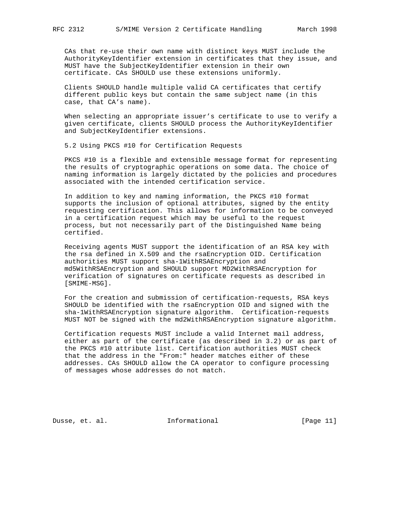CAs that re-use their own name with distinct keys MUST include the AuthorityKeyIdentifier extension in certificates that they issue, and MUST have the SubjectKeyIdentifier extension in their own certificate. CAs SHOULD use these extensions uniformly.

 Clients SHOULD handle multiple valid CA certificates that certify different public keys but contain the same subject name (in this case, that CA's name).

 When selecting an appropriate issuer's certificate to use to verify a given certificate, clients SHOULD process the AuthorityKeyIdentifier and SubjectKeyIdentifier extensions.

5.2 Using PKCS #10 for Certification Requests

 PKCS #10 is a flexible and extensible message format for representing the results of cryptographic operations on some data. The choice of naming information is largely dictated by the policies and procedures associated with the intended certification service.

 In addition to key and naming information, the PKCS #10 format supports the inclusion of optional attributes, signed by the entity requesting certification. This allows for information to be conveyed in a certification request which may be useful to the request process, but not necessarily part of the Distinguished Name being certified.

 Receiving agents MUST support the identification of an RSA key with the rsa defined in X.509 and the rsaEncryption OID. Certification authorities MUST support sha-1WithRSAEncryption and md5WithRSAEncryption and SHOULD support MD2WithRSAEncryption for verification of signatures on certificate requests as described in [SMIME-MSG].

 For the creation and submission of certification-requests, RSA keys SHOULD be identified with the rsaEncryption OID and signed with the sha-1WithRSAEncryption signature algorithm. Certification-requests MUST NOT be signed with the md2WithRSAEncryption signature algorithm.

 Certification requests MUST include a valid Internet mail address, either as part of the certificate (as described in 3.2) or as part of the PKCS #10 attribute list. Certification authorities MUST check that the address in the "From:" header matches either of these addresses. CAs SHOULD allow the CA operator to configure processing of messages whose addresses do not match.

Dusse, et. al. 10. Informational 1.1 [Page 11]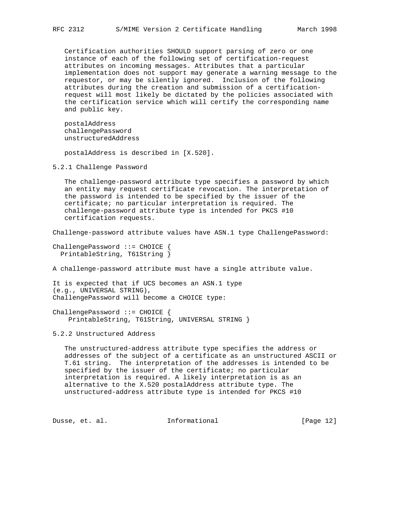Certification authorities SHOULD support parsing of zero or one instance of each of the following set of certification-request attributes on incoming messages. Attributes that a particular implementation does not support may generate a warning message to the requestor, or may be silently ignored. Inclusion of the following attributes during the creation and submission of a certification request will most likely be dictated by the policies associated with the certification service which will certify the corresponding name and public key.

 postalAddress challengePassword unstructuredAddress

postalAddress is described in [X.520].

5.2.1 Challenge Password

 The challenge-password attribute type specifies a password by which an entity may request certificate revocation. The interpretation of the password is intended to be specified by the issuer of the certificate; no particular interpretation is required. The challenge-password attribute type is intended for PKCS #10 certification requests.

Challenge-password attribute values have ASN.1 type ChallengePassword:

ChallengePassword ::= CHOICE { PrintableString, T61String }

A challenge-password attribute must have a single attribute value.

It is expected that if UCS becomes an ASN.1 type (e.g., UNIVERSAL STRING), ChallengePassword will become a CHOICE type:

ChallengePassword ::= CHOICE { PrintableString, T61String, UNIVERSAL STRING }

5.2.2 Unstructured Address

 The unstructured-address attribute type specifies the address or addresses of the subject of a certificate as an unstructured ASCII or T.61 string. The interpretation of the addresses is intended to be specified by the issuer of the certificate; no particular interpretation is required. A likely interpretation is as an alternative to the X.520 postalAddress attribute type. The unstructured-address attribute type is intended for PKCS #10

Dusse, et. al. **Informational** [Page 12]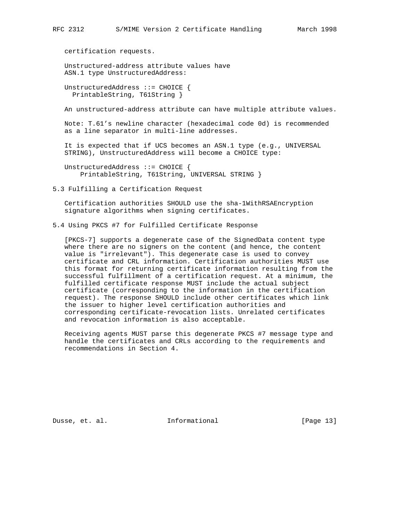certification requests.

 Unstructured-address attribute values have ASN.1 type UnstructuredAddress:

 UnstructuredAddress ::= CHOICE { PrintableString, T61String }

An unstructured-address attribute can have multiple attribute values.

 Note: T.61's newline character (hexadecimal code 0d) is recommended as a line separator in multi-line addresses.

 It is expected that if UCS becomes an ASN.1 type (e.g., UNIVERSAL STRING), UnstructuredAddress will become a CHOICE type:

 UnstructuredAddress ::= CHOICE { PrintableString, T61String, UNIVERSAL STRING }

5.3 Fulfilling a Certification Request

 Certification authorities SHOULD use the sha-1WithRSAEncryption signature algorithms when signing certificates.

5.4 Using PKCS #7 for Fulfilled Certificate Response

 [PKCS-7] supports a degenerate case of the SignedData content type where there are no signers on the content (and hence, the content value is "irrelevant"). This degenerate case is used to convey certificate and CRL information. Certification authorities MUST use this format for returning certificate information resulting from the successful fulfillment of a certification request. At a minimum, the fulfilled certificate response MUST include the actual subject certificate (corresponding to the information in the certification request). The response SHOULD include other certificates which link the issuer to higher level certification authorities and corresponding certificate-revocation lists. Unrelated certificates and revocation information is also acceptable.

 Receiving agents MUST parse this degenerate PKCS #7 message type and handle the certificates and CRLs according to the requirements and recommendations in Section 4.

Dusse, et. al. **Informational** [Page 13]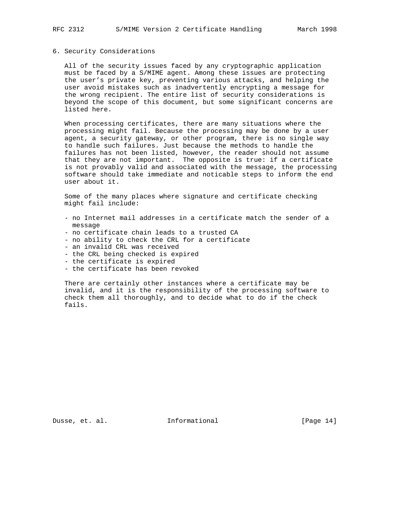#### 6. Security Considerations

 All of the security issues faced by any cryptographic application must be faced by a S/MIME agent. Among these issues are protecting the user's private key, preventing various attacks, and helping the user avoid mistakes such as inadvertently encrypting a message for the wrong recipient. The entire list of security considerations is beyond the scope of this document, but some significant concerns are listed here.

 When processing certificates, there are many situations where the processing might fail. Because the processing may be done by a user agent, a security gateway, or other program, there is no single way to handle such failures. Just because the methods to handle the failures has not been listed, however, the reader should not assume that they are not important. The opposite is true: if a certificate is not provably valid and associated with the message, the processing software should take immediate and noticable steps to inform the end user about it.

 Some of the many places where signature and certificate checking might fail include:

- no Internet mail addresses in a certificate match the sender of a message
- no certificate chain leads to a trusted CA
- no ability to check the CRL for a certificate
- an invalid CRL was received
- the CRL being checked is expired
- the certificate is expired
- the certificate has been revoked

 There are certainly other instances where a certificate may be invalid, and it is the responsibility of the processing software to check them all thoroughly, and to decide what to do if the check fails.

Dusse, et. al. **Informational** [Page 14]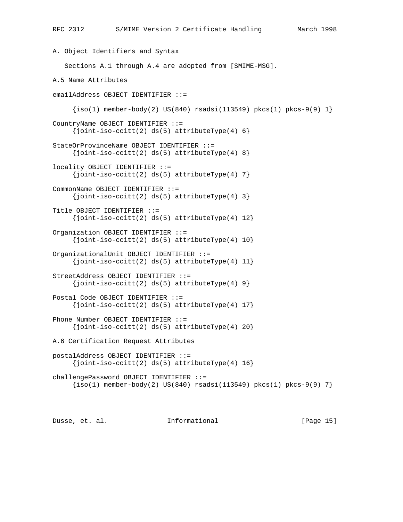```
A. Object Identifiers and Syntax
    Sections A.1 through A.4 are adopted from [SMIME-MSG].
A.5 Name Attributes
emailAddress OBJECT IDENTIFIER ::=
     \{iso(1) member-body(2) US(840) rsadsi(113549) pkcs(1) pkcs-9(9) 1}
CountryName OBJECT IDENTIFIER ::=
     \{joint-iso-ccitt(2) ds(5) attributeType(4) 6\}StateOrProvinceName OBJECT IDENTIFIER ::=
     \{joint-iso-ccitt(2) ds(5) attributeType(4) 8\}locality OBJECT IDENTIFIER ::=
     \{joint-iso-ccitt(2) ds(5) attributerType(4) 7\}CommonName OBJECT IDENTIFIER ::=
     {joint-iso-ccitt(2) ds(5) attributeType(4) 3}Title OBJECT IDENTIFIER ::=
     \{joint-iso-ccitt(2) ds(5) attributeType(4) 12\}Organization OBJECT IDENTIFIER ::=
     \{joint-iso-ccitt(2) ds(5) attributeType(4) 10\}OrganizationalUnit OBJECT IDENTIFIER ::=
     \{joint-iso-ccitt(2) ds(5) attributeType(4) 11\}StreetAddress OBJECT IDENTIFIER ::=
     {joint-iso-ccitt(2) ds(5) attributeType(4) 9}Postal Code OBJECT IDENTIFIER ::=
     \{joint-iso-ccitt(2) ds(5) attributeType(4) 17\}Phone Number OBJECT IDENTIFIER ::=
     {joint-isocritt(2) ds(5) attributeType(4) 20}A.6 Certification Request Attributes
postalAddress OBJECT IDENTIFIER ::=
     \{joint-iso-ccitt(2) ds(5) attributeType(4) 16\}challengePassword OBJECT IDENTIFIER ::=
     \{iso(1) member-body(2) US(840) rsadsi(113549) pkcs(1) pkcs-9(9) 7\}
```
Dusse, et. al. 1nformational 1999 [Page 15]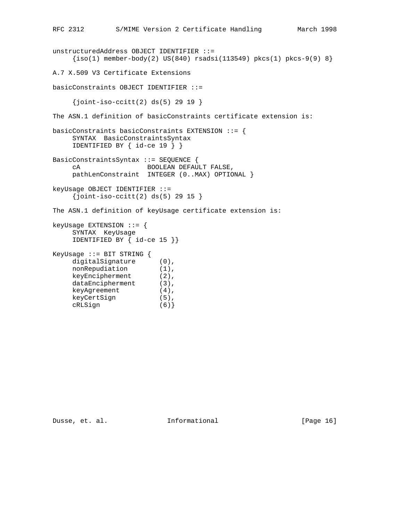```
unstructuredAddress OBJECT IDENTIFIER ::=
    \{iso(1) member-body(2) US(840) rsadsi(113549) pkcs(1) pkcs-9(9) 8}
A.7 X.509 V3 Certificate Extensions
basicConstraints OBJECT IDENTIFIER ::=
    \{joint-iso-ccitt(2) ds(5) 29 19 \}The ASN.1 definition of basicConstraints certificate extension is:
basicConstraints basicConstraints EXTENSION ::= {
     SYNTAX BasicConstraintsSyntax
     IDENTIFIED BY { id-ce 19 } }
BasicConstraintsSyntax ::= SEQUENCE {
     cA BOOLEAN DEFAULT FALSE,
     pathLenConstraint INTEGER (0..MAX) OPTIONAL }
keyUsage OBJECT IDENTIFIER ::=
    \{joint-iso-ccltt(2) ds(5) 29 15 \}The ASN.1 definition of keyUsage certificate extension is:
keyUsage EXTENSION ::= {
     SYNTAX KeyUsage
     IDENTIFIED BY { id-ce 15 }}
KeyUsage ::= BIT STRING {
    digitalSignature (0),
nonRepudiation (1),
 keyEncipherment (2),
dataEncipherment (3),
 keyAgreement (4),
 keyCertSign (5),
 cRLSign (6)}
```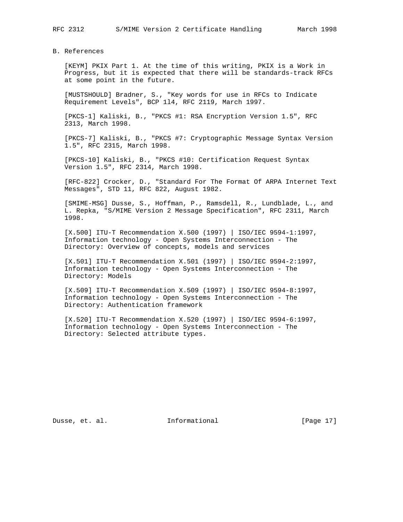B. References

 [KEYM] PKIX Part 1. At the time of this writing, PKIX is a Work in Progress, but it is expected that there will be standards-track RFCs at some point in the future.

 [MUSTSHOULD] Bradner, S., "Key words for use in RFCs to Indicate Requirement Levels", BCP 1l4, RFC 2119, March 1997.

 [PKCS-1] Kaliski, B., "PKCS #1: RSA Encryption Version 1.5", RFC 2313, March 1998.

 [PKCS-7] Kaliski, B., "PKCS #7: Cryptographic Message Syntax Version 1.5", RFC 2315, March 1998.

 [PKCS-10] Kaliski, B., "PKCS #10: Certification Request Syntax Version 1.5", RFC 2314, March 1998.

 [RFC-822] Crocker, D., "Standard For The Format Of ARPA Internet Text Messages", STD 11, RFC 822, August 1982.

 [SMIME-MSG] Dusse, S., Hoffman, P., Ramsdell, R., Lundblade, L., and L. Repka, "S/MIME Version 2 Message Specification", RFC 2311, March 1998.

 [X.500] ITU-T Recommendation X.500 (1997) | ISO/IEC 9594-1:1997, Information technology - Open Systems Interconnection - The Directory: Overview of concepts, models and services

 [X.501] ITU-T Recommendation X.501 (1997) | ISO/IEC 9594-2:1997, Information technology - Open Systems Interconnection - The Directory: Models

 [X.509] ITU-T Recommendation X.509 (1997) | ISO/IEC 9594-8:1997, Information technology - Open Systems Interconnection - The Directory: Authentication framework

 [X.520] ITU-T Recommendation X.520 (1997) | ISO/IEC 9594-6:1997, Information technology - Open Systems Interconnection - The Directory: Selected attribute types.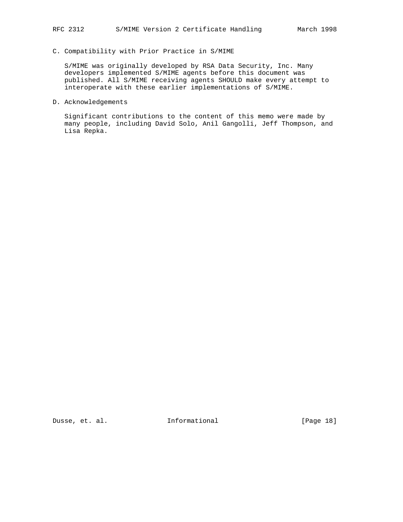## C. Compatibility with Prior Practice in S/MIME

 S/MIME was originally developed by RSA Data Security, Inc. Many developers implemented S/MIME agents before this document was published. All S/MIME receiving agents SHOULD make every attempt to interoperate with these earlier implementations of S/MIME.

#### D. Acknowledgements

 Significant contributions to the content of this memo were made by many people, including David Solo, Anil Gangolli, Jeff Thompson, and Lisa Repka.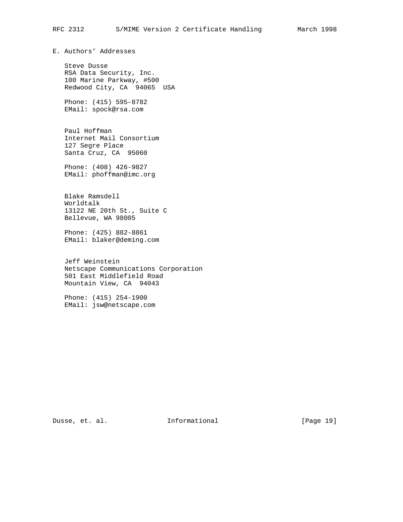E. Authors' Addresses

 Steve Dusse RSA Data Security, Inc. 100 Marine Parkway, #500 Redwood City, CA 94065 USA

 Phone: (415) 595-8782 EMail: spock@rsa.com

 Paul Hoffman Internet Mail Consortium 127 Segre Place Santa Cruz, CA 95060

 Phone: (408) 426-9827 EMail: phoffman@imc.org

 Blake Ramsdell Worldtalk 13122 NE 20th St., Suite C Bellevue, WA 98005

 Phone: (425) 882-8861 EMail: blaker@deming.com

 Jeff Weinstein Netscape Communications Corporation 501 East Middlefield Road Mountain View, CA 94043

 Phone: (415) 254-1900 EMail: jsw@netscape.com

Dusse, et. al. 10 mm = Informational 100 mm = [Page 19]